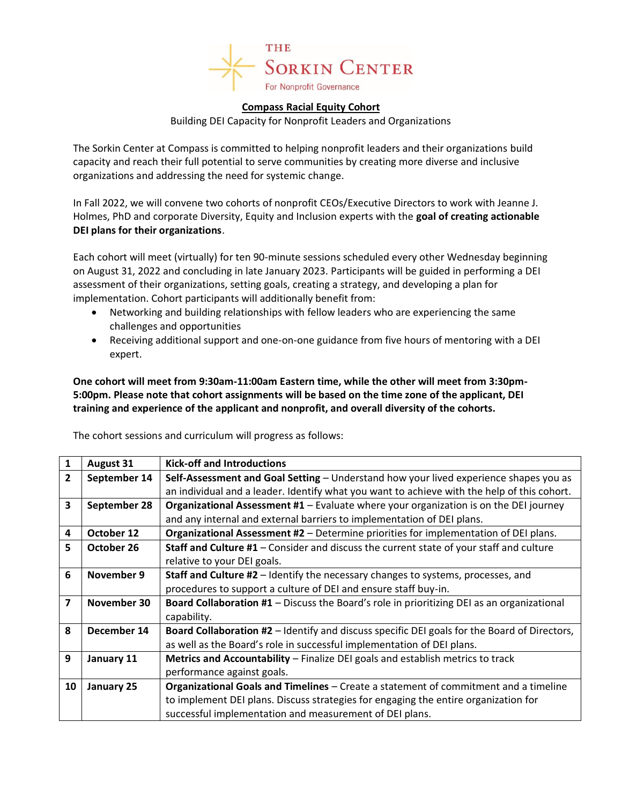

## **Compass Racial Equity Cohort**

Building DEI Capacity for Nonprofit Leaders and Organizations

The Sorkin Center at Compass is committed to helping nonprofit leaders and their organizations build capacity and reach their full potential to serve communities by creating more diverse and inclusive organizations and addressing the need for systemic change.

In Fall 2022, we will convene two cohorts of nonprofit CEOs/Executive Directors to work with Jeanne J. Holmes, PhD and corporate Diversity, Equity and Inclusion experts with the **goal of creating actionable DEI plans for their organizations**.

Each cohort will meet (virtually) for ten 90-minute sessions scheduled every other Wednesday beginning on August 31, 2022 and concluding in late January 2023. Participants will be guided in performing a DEI assessment of their organizations, setting goals, creating a strategy, and developing a plan for implementation. Cohort participants will additionally benefit from:

- Networking and building relationships with fellow leaders who are experiencing the same challenges and opportunities
- Receiving additional support and one-on-one guidance from five hours of mentoring with a DEI expert.

**One cohort will meet from 9:30am-11:00am Eastern time, while the other will meet from 3:30pm-5:00pm. Please note that cohort assignments will be based on the time zone of the applicant, DEI training and experience of the applicant and nonprofit, and overall diversity of the cohorts.**

| 1              | <b>August 31</b> | <b>Kick-off and Introductions</b>                                                                   |
|----------------|------------------|-----------------------------------------------------------------------------------------------------|
| $\overline{2}$ | September 14     | Self-Assessment and Goal Setting - Understand how your lived experience shapes you as               |
|                |                  | an individual and a leader. Identify what you want to achieve with the help of this cohort.         |
| 3              | September 28     | Organizational Assessment #1 - Evaluate where your organization is on the DEI journey               |
|                |                  | and any internal and external barriers to implementation of DEI plans.                              |
| 4              | October 12       | Organizational Assessment #2 - Determine priorities for implementation of DEI plans.                |
| 5              | October 26       | <b>Staff and Culture #1</b> - Consider and discuss the current state of your staff and culture      |
|                |                  | relative to your DEI goals.                                                                         |
| 6              | November 9       | Staff and Culture #2 - Identify the necessary changes to systems, processes, and                    |
|                |                  | procedures to support a culture of DEI and ensure staff buy-in.                                     |
| 7              | November 30      | Board Collaboration #1 - Discuss the Board's role in prioritizing DEI as an organizational          |
|                |                  | capability.                                                                                         |
| 8              | December 14      | <b>Board Collaboration #2</b> – Identify and discuss specific DEI goals for the Board of Directors, |
|                |                  | as well as the Board's role in successful implementation of DEI plans.                              |
| 9              | January 11       | Metrics and Accountability - Finalize DEI goals and establish metrics to track                      |
|                |                  | performance against goals.                                                                          |
| 10             | January 25       | <b>Organizational Goals and Timelines</b> – Create a statement of commitment and a timeline         |
|                |                  | to implement DEI plans. Discuss strategies for engaging the entire organization for                 |
|                |                  | successful implementation and measurement of DEI plans.                                             |

The cohort sessions and curriculum will progress as follows: